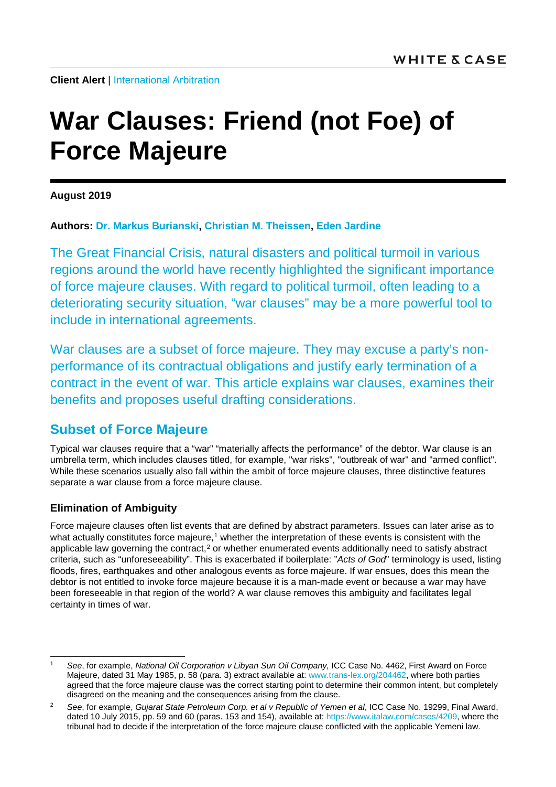**Client Alert | [International Arbitration](https://www.whitecase.com/law/practices/international-arbitration)** 

# **War Clauses: Friend (not Foe) of Force Majeure**

**August 2019**

**Authors: [Dr. Markus Burianski,](https://www.whitecase.com/people/markus-burianski) [Christian M. Theissen,](https://www.whitecase.com/people/christian-theissen) [Eden Jardine](mailto:eden.jardine@whitecase.com)**

The Great Financial Crisis, natural disasters and political turmoil in various regions around the world have recently highlighted the significant importance of force majeure clauses. With regard to political turmoil, often leading to a deteriorating security situation, "war clauses" may be a more powerful tool to include in international agreements.

War clauses are a subset of force majeure. They may excuse a party's nonperformance of its contractual obligations and justify early termination of a contract in the event of war. This article explains war clauses, examines their benefits and proposes useful drafting considerations.

## **Subset of Force Majeure**

Typical war clauses require that a "war" "materially affects the performance" of the debtor. War clause is an umbrella term, which includes clauses titled, for example, "war risks", "outbreak of war" and "armed conflict". While these scenarios usually also fall within the ambit of force majeure clauses, three distinctive features separate a war clause from a force majeure clause.

### **Elimination of Ambiguity**

Force majeure clauses often list events that are defined by abstract parameters. Issues can later arise as to what actually constitutes force majeure,<sup>[1](#page-0-0)</sup> whether the interpretation of these events is consistent with the applicable law governing the contract, $2$  or whether enumerated events additionally need to satisfy abstract criteria, such as "unforeseeability". This is exacerbated if boilerplate: "*Acts of God*" terminology is used, listing floods, fires, earthquakes and other analogous events as force majeure. If war ensues, does this mean the debtor is not entitled to invoke force majeure because it is a man-made event or because a war may have been foreseeable in that region of the world? A war clause removes this ambiguity and facilitates legal certainty in times of war.

<span id="page-0-0"></span> <sup>1</sup> *See*, for example, *National Oil Corporation <sup>ν</sup> Libyan Sun Oil Company,* ICC Case No. 4462, First Award on Force Majeure, dated 31 May 1985, p. 58 (para. 3) extract available at[: www.trans-lex.org/204462,](http://www.trans-lex.org/204462) where both parties agreed that the force majeure clause was the correct starting point to determine their common intent, but completely disagreed on the meaning and the consequences arising from the clause.

<span id="page-0-1"></span><sup>2</sup> *See*, for example, *Gujarat State Petroleum Corp. et al v Republic of Yemen et al*, ICC Case No. 19299, Final Award, dated 10 July 2015, pp. 59 and 60 (paras. 153 and 154), available at[: https://www.italaw.com/cases/4209,](https://www.italaw.com/cases/4209) where the tribunal had to decide if the interpretation of the force majeure clause conflicted with the applicable Yemeni law.